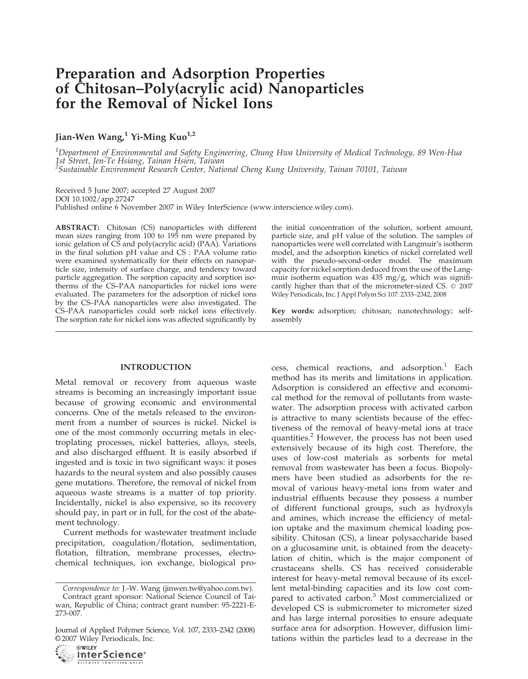# Preparation and Adsorption Properties of Chitosan–Poly(acrylic acid) Nanoparticles for the Removal of Nickel Ions

# Jian-Wen Wang,<sup>1</sup> Yi-Ming Kuo<sup>1,2</sup>

 $^{\rm 1}$ Department of Environmental and Safety Engineering, Chung Hwa University of Medical Technology, 89 Wen-Hua 1st Street, Jen-Te Hsiang, Tainan Hsien, Taiwan <sup>2</sup>Sustainable Environment Research Center, National Cheng Kung University, Tainan 70101, Taiwan

Received 5 June 2007; accepted 27 August 2007 DOI 10.1002/app.27247 Published online 6 November 2007 in Wiley InterScience (www.interscience.wiley.com).

ABSTRACT: Chitosan (CS) nanoparticles with different mean sizes ranging from 100 to 195 nm were prepared by ionic gelation of CS and poly(acrylic acid) (PAA). Variations in the final solution pH value and CS : PAA volume ratio were examined systematically for their effects on nanoparticle size, intensity of surface charge, and tendency toward particle aggregation. The sorption capacity and sorption isotherms of the CS–PAA nanoparticles for nickel ions were evaluated. The parameters for the adsorption of nickel ions by the CS–PAA nanoparticles were also investigated. The CS–PAA nanoparticles could sorb nickel ions effectively. The sorption rate for nickel ions was affected significantly by

# INTRODUCTION

Metal removal or recovery from aqueous waste streams is becoming an increasingly important issue because of growing economic and environmental concerns. One of the metals released to the environment from a number of sources is nickel. Nickel is one of the most commonly occurring metals in electroplating processes, nickel batteries, alloys, steels, and also discharged effluent. It is easily absorbed if ingested and is toxic in two significant ways: it poses hazards to the neural system and also possibly causes gene mutations. Therefore, the removal of nickel from aqueous waste streams is a matter of top priority. Incidentally, nickel is also expensive, so its recovery should pay, in part or in full, for the cost of the abatement technology.

Current methods for wastewater treatment include precipitation, coagulation/flotation, sedimentation, flotation, filtration, membrane processes, electrochemical techniques, ion exchange, biological pro-

Journal of Applied Polymer Science, Vol. 107, 2333–2342 (2008) © 2007 Wiley Periodicals, Inc.



the initial concentration of the solution, sorbent amount, particle size, and pH value of the solution. The samples of nanoparticles were well correlated with Langmuir's isotherm model, and the adsorption kinetics of nickel correlated well with the pseudo-second-order model. The maximum capacity for nickel sorption deduced from the use of the Langmuir isotherm equation was  $435 \text{ mg/g}$ , which was significantly higher than that of the micrometer-sized CS.  $\odot$  2007 Wiley Periodicals, Inc. J Appl Polym Sci 107: 2333–2342, 2008

Key words: adsorption; chitosan; nanotechnology; selfassembly

cess, chemical reactions, and adsorption.<sup>1</sup> Each method has its merits and limitations in application. Adsorption is considered an effective and economical method for the removal of pollutants from wastewater. The adsorption process with activated carbon is attractive to many scientists because of the effectiveness of the removal of heavy-metal ions at trace quantities.<sup>2</sup> However, the process has not been used extensively because of its high cost. Therefore, the uses of low-cost materials as sorbents for metal removal from wastewater has been a focus. Biopolymers have been studied as adsorbents for the removal of various heavy-metal ions from water and industrial effluents because they possess a number of different functional groups, such as hydroxyls and amines, which increase the efficiency of metalion uptake and the maximum chemical loading possibility. Chitosan (CS), a linear polysaccharide based on a glucosamine unit, is obtained from the deacetylation of chitin, which is the major component of crustaceans shells. CS has received considerable interest for heavy-metal removal because of its excellent metal-binding capacities and its low cost compared to activated carbon.<sup>3</sup> Most commercialized or developed CS is submicrometer to micrometer sized and has large internal porosities to ensure adequate surface area for adsorption. However, diffusion limitations within the particles lead to a decrease in the

Correspondence to: J.-W. Wang (jinwen.tw@yahoo.com.tw). Contract grant sponsor: National Science Council of Taiwan, Republic of China; contract grant number: 95-2221-E-273-007.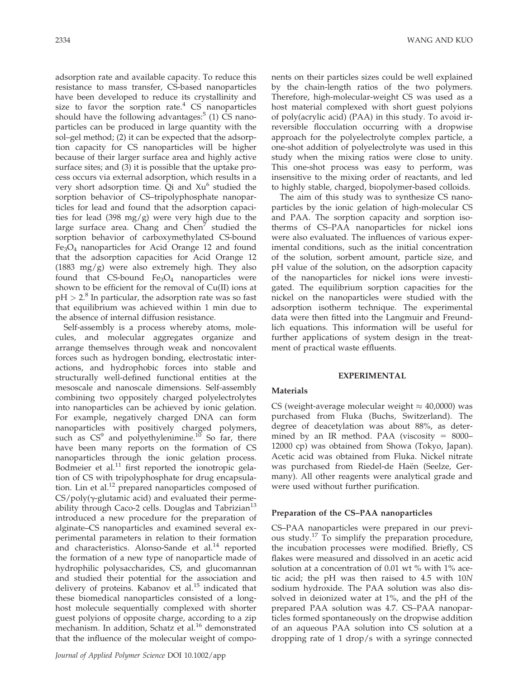adsorption rate and available capacity. To reduce this resistance to mass transfer, CS-based nanoparticles have been developed to reduce its crystallinity and size to favor the sorption rate. $4 \text{ CS}$  nanoparticles should have the following advantages: $5$  (1) CS nanoparticles can be produced in large quantity with the sol–gel method; (2) it can be expected that the adsorption capacity for CS nanoparticles will be higher because of their larger surface area and highly active surface sites; and (3) it is possible that the uptake process occurs via external adsorption, which results in a very short adsorption time. Qi and  $Xu<sup>6</sup>$  studied the sorption behavior of CS–tripolyphosphate nanoparticles for lead and found that the adsorption capacities for lead (398 mg/g) were very high due to the large surface area. Chang and  $Chen'$  studied the sorption behavior of carboxymethylated CS-bound Fe3O4 nanoparticles for Acid Orange 12 and found that the adsorption capacities for Acid Orange 12  $(1883 \, \text{mg/g})$  were also extremely high. They also found that CS-bound  $Fe<sub>3</sub>O<sub>4</sub>$  nanoparticles were shown to be efficient for the removal of Cu(II) ions at  $pH > 2$ .<sup>8</sup> In particular, the adsorption rate was so fast that equilibrium was achieved within 1 min due to the absence of internal diffusion resistance.

Self-assembly is a process whereby atoms, molecules, and molecular aggregates organize and arrange themselves through weak and noncovalent forces such as hydrogen bonding, electrostatic interactions, and hydrophobic forces into stable and structurally well-defined functional entities at the mesoscale and nanoscale dimensions. Self-assembly combining two oppositely charged polyelectrolytes into nanoparticles can be achieved by ionic gelation. For example, negatively charged DNA can form nanoparticles with positively charged polymers, such as  $CS^9$  and polyethylenimine.<sup>10</sup> So far, there have been many reports on the formation of CS nanoparticles through the ionic gelation process. Bodmeier et al. $^{11}$  first reported the ionotropic gelation of CS with tripolyphosphate for drug encapsulation. Lin et al. $^{12}$  prepared nanoparticles composed of  $CS/poly(\gamma$ -glutamic acid) and evaluated their permeability through Caco-2 cells. Douglas and Tabrizian<sup>13</sup> introduced a new procedure for the preparation of alginate–CS nanoparticles and examined several experimental parameters in relation to their formation and characteristics. Alonso-Sande et al.<sup>14</sup> reported the formation of a new type of nanoparticle made of hydrophilic polysaccharides, CS, and glucomannan and studied their potential for the association and delivery of proteins. Kabanov et al.<sup>15</sup> indicated that these biomedical nanoparticles consisted of a longhost molecule sequentially complexed with shorter guest polyions of opposite charge, according to a zip mechanism. In addition, Schatz et al.<sup>16</sup> demonstrated that the influence of the molecular weight of components on their particles sizes could be well explained by the chain-length ratios of the two polymers. Therefore, high-molecular-weight CS was used as a host material complexed with short guest polyions of poly(acrylic acid) (PAA) in this study. To avoid irreversible flocculation occurring with a dropwise approach for the polyelectrolyte complex particle, a one-shot addition of polyelectrolyte was used in this study when the mixing ratios were close to unity. This one-shot process was easy to perform, was insensitive to the mixing order of reactants, and led to highly stable, charged, biopolymer-based colloids.

The aim of this study was to synthesize CS nanoparticles by the ionic gelation of high-molecular CS and PAA. The sorption capacity and sorption isotherms of CS–PAA nanoparticles for nickel ions were also evaluated. The influences of various experimental conditions, such as the initial concentration of the solution, sorbent amount, particle size, and pH value of the solution, on the adsorption capacity of the nanoparticles for nickel ions were investigated. The equilibrium sorption capacities for the nickel on the nanoparticles were studied with the adsorption isotherm technique. The experimental data were then fitted into the Langmuir and Freundlich equations. This information will be useful for further applications of system design in the treatment of practical waste effluents.

#### EXPERIMENTAL

#### Materials

CS (weight-average molecular weight  $\approx$  40,0000) was purchased from Fluka (Buchs, Switzerland). The degree of deacetylation was about 88%, as determined by an IR method. PAA (viscosity  $= 8000-$ 12000 cp) was obtained from Showa (Tokyo, Japan). Acetic acid was obtained from Fluka. Nickel nitrate was purchased from Riedel-de Haën (Seelze, Germany). All other reagents were analytical grade and were used without further purification.

#### Preparation of the CS–PAA nanoparticles

CS–PAA nanoparticles were prepared in our previous study.<sup>17</sup> To simplify the preparation procedure, the incubation processes were modified. Briefly, CS flakes were measured and dissolved in an acetic acid solution at a concentration of 0.01 wt % with 1% acetic acid; the pH was then raised to 4.5 with 10N sodium hydroxide. The PAA solution was also dissolved in deionized water at 1%, and the pH of the prepared PAA solution was 4.7. CS–PAA nanoparticles formed spontaneously on the dropwise addition of an aqueous PAA solution into CS solution at a dropping rate of 1 drop/s with a syringe connected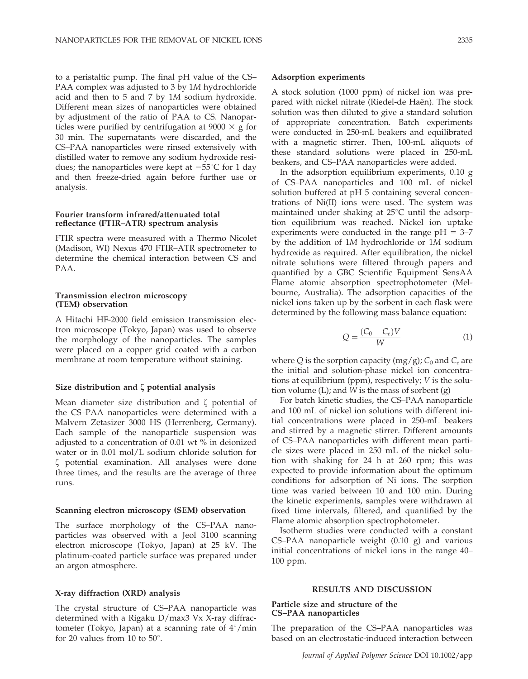to a peristaltic pump. The final pH value of the CS– PAA complex was adjusted to 3 by 1M hydrochloride acid and then to 5 and 7 by 1M sodium hydroxide. Different mean sizes of nanoparticles were obtained by adjustment of the ratio of PAA to CS. Nanoparticles were purified by centrifugation at  $9000 \times g$  for 30 min. The supernatants were discarded, and the CS–PAA nanoparticles were rinsed extensively with distilled water to remove any sodium hydroxide residues; the nanoparticles were kept at  $-55^{\circ}$ C for 1 day and then freeze-dried again before further use or analysis.

## Fourier transform infrared/attenuated total reflectance (FTIR–ATR) spectrum analysis

FTIR spectra were measured with a Thermo Nicolet (Madison, WI) Nexus 470 FTIR–ATR spectrometer to determine the chemical interaction between CS and PAA.

# Transmission electron microscopy (TEM) observation

A Hitachi HF-2000 field emission transmission electron microscope (Tokyo, Japan) was used to observe the morphology of the nanoparticles. The samples were placed on a copper grid coated with a carbon membrane at room temperature without staining.

# Size distribution and  $\zeta$  potential analysis

Mean diameter size distribution and  $\zeta$  potential of the CS–PAA nanoparticles were determined with a Malvern Zetasizer 3000 HS (Herrenberg, Germany). Each sample of the nanoparticle suspension was adjusted to a concentration of 0.01 wt % in deionized water or in 0.01 mol/L sodium chloride solution for f potential examination. All analyses were done three times, and the results are the average of three runs.

#### Scanning electron microscopy (SEM) observation

The surface morphology of the CS–PAA nanoparticles was observed with a Jeol 3100 scanning electron microscope (Tokyo, Japan) at 25 kV. The platinum-coated particle surface was prepared under an argon atmosphere.

# X-ray diffraction (XRD) analysis

The crystal structure of CS–PAA nanoparticle was determined with a Rigaku D/max3 Vx X-ray diffractometer (Tokyo, Japan) at a scanning rate of  $4^{\circ}/\text{min}$ for 20 values from 10 to 50 $^{\circ}$ .

# Adsorption experiments

A stock solution (1000 ppm) of nickel ion was prepared with nickel nitrate (Riedel-de Haën). The stock solution was then diluted to give a standard solution of appropriate concentration. Batch experiments were conducted in 250-mL beakers and equilibrated with a magnetic stirrer. Then, 100-mL aliquots of these standard solutions were placed in 250-mL beakers, and CS–PAA nanoparticles were added.

In the adsorption equilibrium experiments, 0.10 g of CS–PAA nanoparticles and 100 mL of nickel solution buffered at pH 5 containing several concentrations of Ni(II) ions were used. The system was maintained under shaking at  $25^{\circ}$ C until the adsorption equilibrium was reached. Nickel ion uptake experiments were conducted in the range  $pH = 3-7$ by the addition of 1M hydrochloride or 1M sodium hydroxide as required. After equilibration, the nickel nitrate solutions were filtered through papers and quantified by a GBC Scientific Equipment SensAA Flame atomic absorption spectrophotometer (Melbourne, Australia). The adsorption capacities of the nickel ions taken up by the sorbent in each flask were determined by the following mass balance equation:

$$
Q = \frac{(C_0 - C_e)V}{W}
$$
 (1)

where Q is the sorption capacity (mg/g);  $C_0$  and  $C_e$  are the initial and solution-phase nickel ion concentrations at equilibrium (ppm), respectively; V is the solution volume  $(L)$ ; and  $W$  is the mass of sorbent  $(g)$ 

For batch kinetic studies, the CS–PAA nanoparticle and 100 mL of nickel ion solutions with different initial concentrations were placed in 250-mL beakers and stirred by a magnetic stirrer. Different amounts of CS–PAA nanoparticles with different mean particle sizes were placed in 250 mL of the nickel solution with shaking for 24 h at 260 rpm; this was expected to provide information about the optimum conditions for adsorption of Ni ions. The sorption time was varied between 10 and 100 min. During the kinetic experiments, samples were withdrawn at fixed time intervals, filtered, and quantified by the Flame atomic absorption spectrophotometer.

Isotherm studies were conducted with a constant CS–PAA nanoparticle weight (0.10 g) and various initial concentrations of nickel ions in the range 40– 100 ppm.

# RESULTS AND DISCUSSION

#### Particle size and structure of the CS–PAA nanoparticles

The preparation of the CS–PAA nanoparticles was based on an electrostatic-induced interaction between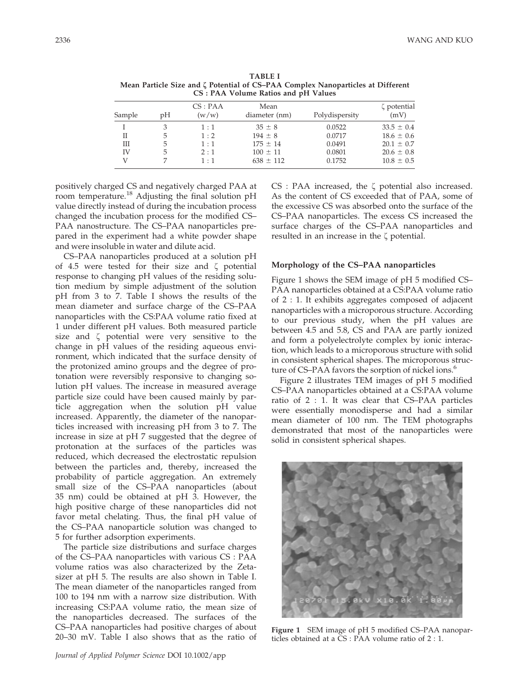| INCAIL L'AIGLIC DIZC AIRE C'HOICHIAI OI COTTAN COMPICA IVANOPATICIES AL D'INCIENT<br>CS: PAA Volume Ratios and pH Values |    |                     |                       |                |                           |  |
|--------------------------------------------------------------------------------------------------------------------------|----|---------------------|-----------------------|----------------|---------------------------|--|
| Sample                                                                                                                   | pΗ | $CS$ : PAA<br>(w/w) | Mean<br>diameter (nm) | Polydispersity | $\zeta$ potential<br>(mV) |  |
|                                                                                                                          |    | 1:1                 | $35 \pm 8$            | 0.0522         | $33.5 \pm 0.4$            |  |
| Н                                                                                                                        | 5  | 1:2                 | $194 \pm 8$           | 0.0717         | $18.6 \pm 0.6$            |  |
| Ш                                                                                                                        | 5  | 1:1                 | $175 \pm 14$          | 0.0491         | $20.1 \pm 0.7$            |  |
| IV                                                                                                                       | 5  | 2:1                 | $100 \pm 11$          | 0.0801         | $20.6 \pm 0.8$            |  |
|                                                                                                                          |    | 1:1                 | $638 \pm 112$         | 0.1752         | $10.8 \pm 0.5$            |  |

TABLE I Mean Particle Size and  $\zeta$  Potential of CS–PAA Complex Nanoparticles at Different

positively charged CS and negatively charged PAA at room temperature.<sup>18</sup> Adjusting the final solution pH value directly instead of during the incubation process changed the incubation process for the modified CS– PAA nanostructure. The CS–PAA nanoparticles prepared in the experiment had a white powder shape and were insoluble in water and dilute acid.

CS–PAA nanoparticles produced at a solution pH of 4.5 were tested for their size and  $\zeta$  potential response to changing pH values of the residing solution medium by simple adjustment of the solution pH from 3 to 7. Table I shows the results of the mean diameter and surface charge of the CS–PAA nanoparticles with the CS:PAA volume ratio fixed at 1 under different pH values. Both measured particle size and  $\zeta$  potential were very sensitive to the change in pH values of the residing aqueous environment, which indicated that the surface density of the protonized amino groups and the degree of protonation were reversibly responsive to changing solution pH values. The increase in measured average particle size could have been caused mainly by particle aggregation when the solution pH value increased. Apparently, the diameter of the nanoparticles increased with increasing pH from 3 to 7. The increase in size at pH 7 suggested that the degree of protonation at the surfaces of the particles was reduced, which decreased the electrostatic repulsion between the particles and, thereby, increased the probability of particle aggregation. An extremely small size of the CS–PAA nanoparticles (about 35 nm) could be obtained at pH 3. However, the high positive charge of these nanoparticles did not favor metal chelating. Thus, the final pH value of the CS–PAA nanoparticle solution was changed to 5 for further adsorption experiments.

The particle size distributions and surface charges of the CS–PAA nanoparticles with various CS : PAA volume ratios was also characterized by the Zetasizer at pH 5. The results are also shown in Table I. The mean diameter of the nanoparticles ranged from 100 to 194 nm with a narrow size distribution. With increasing CS:PAA volume ratio, the mean size of the nanoparticles decreased. The surfaces of the CS–PAA nanoparticles had positive charges of about 20–30 mV. Table I also shows that as the ratio of

 $CS: PAA$  increased, the  $\zeta$  potential also increased. As the content of CS exceeded that of PAA, some of the excessive CS was absorbed onto the surface of the CS–PAA nanoparticles. The excess CS increased the surface charges of the CS–PAA nanoparticles and resulted in an increase in the  $\zeta$  potential.

# Morphology of the CS–PAA nanoparticles

Figure 1 shows the SEM image of pH 5 modified CS– PAA nanoparticles obtained at a CS:PAA volume ratio of 2 : 1. It exhibits aggregates composed of adjacent nanoparticles with a microporous structure. According to our previous study, when the pH values are between 4.5 and 5.8, CS and PAA are partly ionized and form a polyelectrolyte complex by ionic interaction, which leads to a microporous structure with solid in consistent spherical shapes. The microporous structure of CS–PAA favors the sorption of nickel ions.<sup>6</sup>

Figure 2 illustrates TEM images of pH 5 modified CS–PAA nanoparticles obtained at a CS:PAA volume ratio of 2 : 1. It was clear that CS–PAA particles were essentially monodisperse and had a similar mean diameter of 100 nm. The TEM photographs demonstrated that most of the nanoparticles were solid in consistent spherical shapes.



Figure 1 SEM image of pH 5 modified CS–PAA nanoparticles obtained at a CS : PAA volume ratio of 2 : 1.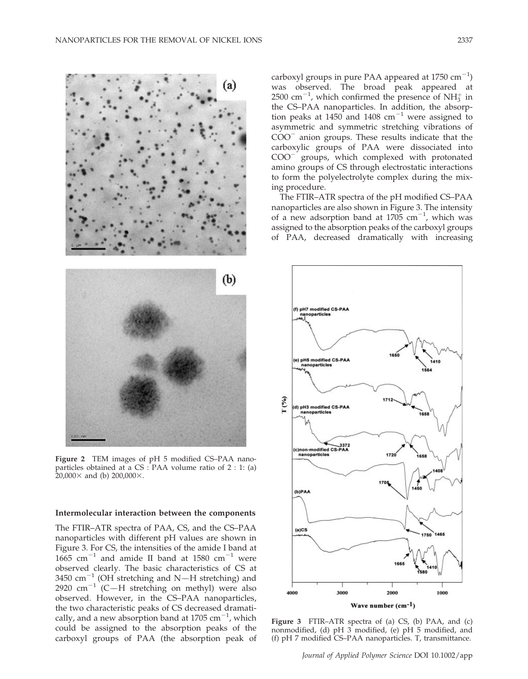

Figure 2 TEM images of pH 5 modified CS–PAA nanoparticles obtained at a CS : PAA volume ratio of 2 : 1: (a)  $20,000 \times$  and (b) 200,000 $\times$ .

#### Intermolecular interaction between the components

The FTIR–ATR spectra of PAA, CS, and the CS–PAA nanoparticles with different pH values are shown in Figure 3. For CS, the intensities of the amide I band at 1665 cm<sup>-1</sup> and amide II band at 1580 cm<sup>-1</sup> were observed clearly. The basic characteristics of CS at 3450  $\text{cm}^{-1}$  (OH stretching and N-H stretching) and 2920  $\text{cm}^{-1}$  (C-H stretching on methyl) were also observed. However, in the CS–PAA nanoparticles, the two characteristic peaks of CS decreased dramatically, and a new absorption band at  $1705 \text{ cm}^{-1}$ , which could be assigned to the absorption peaks of the carboxyl groups of PAA (the absorption peak of

carboxyl groups in pure PAA appeared at 1750  $\rm cm^{-1})$ was observed. The broad peak appeared at  $2500 \text{ cm}^{-1}$ , which confirmed the presence of NH<sub>3</sub> in the CS–PAA nanoparticles. In addition, the absorption peaks at 1450 and 1408  $cm^{-1}$  were assigned to asymmetric and symmetric stretching vibrations of  $COO<sup>-</sup>$  anion groups. These results indicate that the carboxylic groups of PAA were dissociated into COO<sup>-</sup> groups, which complexed with protonated amino groups of CS through electrostatic interactions to form the polyelectrolyte complex during the mixing procedure.

The FTIR–ATR spectra of the pH modified CS–PAA nanoparticles are also shown in Figure 3. The intensity of a new adsorption band at  $1705 \text{ cm}^{-1}$ , which was assigned to the absorption peaks of the carboxyl groups of PAA, decreased dramatically with increasing



Figure 3 FTIR–ATR spectra of (a) CS, (b) PAA, and (c) nonmodified, (d) pH 3 modified, (e) pH 5 modified, and (f) pH 7 modified CS–PAA nanoparticles. T, transmittance.

Journal of Applied Polymer Science DOI 10.1002/app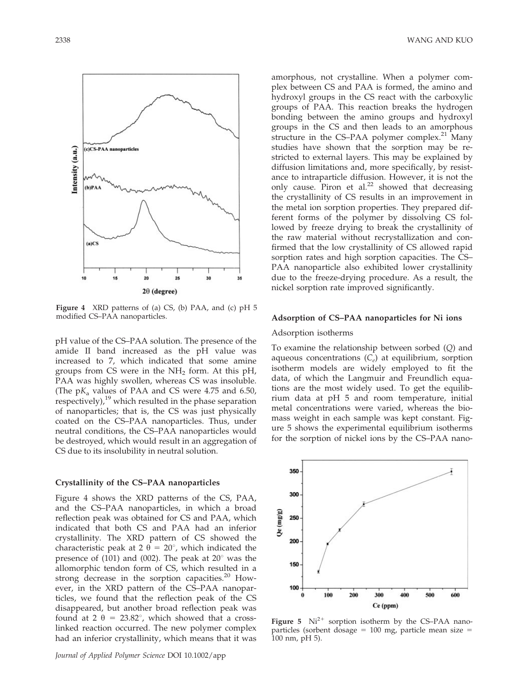

Figure 4 XRD patterns of (a) CS, (b) PAA, and (c) pH 5 modified CS–PAA nanoparticles.

pH value of the CS–PAA solution. The presence of the amide II band increased as the pH value was increased to 7, which indicated that some amine groups from CS were in the  $NH<sub>2</sub>$  form. At this pH, PAA was highly swollen, whereas CS was insoluble. (The  $pK_a$  values of PAA and CS were 4.75 and 6.50, respectively), $19$  which resulted in the phase separation of nanoparticles; that is, the CS was just physically coated on the CS–PAA nanoparticles. Thus, under neutral conditions, the CS–PAA nanoparticles would be destroyed, which would result in an aggregation of CS due to its insolubility in neutral solution.

#### Crystallinity of the CS–PAA nanoparticles

Figure 4 shows the XRD patterns of the CS, PAA, and the CS–PAA nanoparticles, in which a broad reflection peak was obtained for CS and PAA, which indicated that both CS and PAA had an inferior crystallinity. The XRD pattern of CS showed the characteristic peak at 2  $\theta = 20^{\circ}$ , which indicated the presence of (101) and (002). The peak at  $20^{\circ}$  was the allomorphic tendon form of CS, which resulted in a strong decrease in the sorption capacities. $20$  However, in the XRD pattern of the CS–PAA nanoparticles, we found that the reflection peak of the CS disappeared, but another broad reflection peak was found at 2  $\theta$  = 23.82°, which showed that a crosslinked reaction occurred. The new polymer complex had an inferior crystallinity, which means that it was

amorphous, not crystalline. When a polymer complex between CS and PAA is formed, the amino and hydroxyl groups in the CS react with the carboxylic groups of PAA. This reaction breaks the hydrogen bonding between the amino groups and hydroxyl groups in the CS and then leads to an amorphous structure in the CS–PAA polymer complex. $^{21}$  Many studies have shown that the sorption may be restricted to external layers. This may be explained by diffusion limitations and, more specifically, by resistance to intraparticle diffusion. However, it is not the only cause. Piron et al.<sup>22</sup> showed that decreasing the crystallinity of CS results in an improvement in the metal ion sorption properties. They prepared different forms of the polymer by dissolving CS followed by freeze drying to break the crystallinity of the raw material without recrystallization and confirmed that the low crystallinity of CS allowed rapid sorption rates and high sorption capacities. The CS– PAA nanoparticle also exhibited lower crystallinity due to the freeze-drying procedure. As a result, the nickel sorption rate improved significantly.

## Adsorption of CS–PAA nanoparticles for Ni ions

# Adsorption isotherms

To examine the relationship between sorbed (Q) and aqueous concentrations  $(C_e)$  at equilibrium, sorption isotherm models are widely employed to fit the data, of which the Langmuir and Freundlich equations are the most widely used. To get the equilibrium data at pH 5 and room temperature, initial metal concentrations were varied, whereas the biomass weight in each sample was kept constant. Figure 5 shows the experimental equilibrium isotherms for the sorption of nickel ions by the CS–PAA nano-



Figure 5  $Ni<sup>2+</sup>$  sorption isotherm by the CS–PAA nanoparticles (sorbent dosage  $= 100$  mg, particle mean size  $=$ 100 nm, pH 5).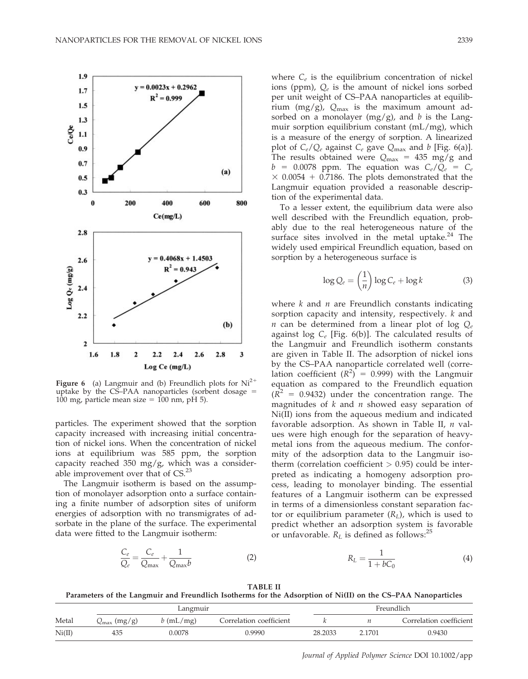

Figure 6 (a) Langmuir and (b) Freundlich plots for  $Ni<sup>2+</sup>$ uptake by the CS–PAA nanoparticles (sorbent dosage  $=$  $100 \text{ mg}$ , particle mean size =  $100 \text{ nm}$ , pH 5).

particles. The experiment showed that the sorption capacity increased with increasing initial concentration of nickel ions. When the concentration of nickel ions at equilibrium was 585 ppm, the sorption capacity reached 350 mg/g, which was a considerable improvement over that of  $CS.<sup>23</sup>$ 

The Langmuir isotherm is based on the assumption of monolayer adsorption onto a surface containing a finite number of adsorption sites of uniform energies of adsorption with no transmigrates of adsorbate in the plane of the surface. The experimental data were fitted to the Langmuir isotherm:

where 
$$
C_e
$$
 is the equilibrium concentration of nickel  
ions (ppm),  $Q_e$  is the amount of nickel ions sorbed  
per unit weight of CS-PAA nanoparticles at equilib-  
rium (mg/g),  $Q_{\text{max}}$  is the maximum amount ad-  
sorbed on a monolayer (mg/g), and *b* is the Lang-  
muir sorption equilibrium constant (mL/mg), which  
is a measure of the energy of sorption. A linearized  
plot of  $C_e/Q_e$  against  $C_e$  gave  $Q_{\text{max}}$  and *b* [Fig. 6(a)].  
The results obtained were  $Q_{\text{max}} = 435$  mg/g and  
 $b = 0.0078$  ppm. The equation was  $C_e/Q_e = C_e$   
 $\times 0.0054 + 0.7186$ . The plots demonstrated that the  
Langmuir equation provided a reasonable descrip-  
tion of the experimental data.

To a lesser extent, the equilibrium data were also well described with the Freundlich equation, probably due to the real heterogeneous nature of the surface sites involved in the metal uptake. $24$  The widely used empirical Freundlich equation, based on sorption by a heterogeneous surface is

$$
\log Q_e = \left(\frac{1}{n}\right) \log C_e + \log k \tag{3}
$$

where  $k$  and  $n$  are Freundlich constants indicating sorption capacity and intensity, respectively. k and *n* can be determined from a linear plot of log  $Q_e$ against log  $C_e$  [Fig. 6(b)]. The calculated results of the Langmuir and Freundlich isotherm constants are given in Table II. The adsorption of nickel ions by the CS–PAA nanoparticle correlated well (correlation coefficient  $(R^2) = 0.999$ ) with the Langmuir equation as compared to the Freundlich equation  $(R^2 = 0.9432)$  under the concentration range. The magnitudes of  $k$  and  $n$  showed easy separation of Ni(II) ions from the aqueous medium and indicated favorable adsorption. As shown in Table II,  $n$  values were high enough for the separation of heavymetal ions from the aqueous medium. The conformity of the adsorption data to the Langmuir isotherm (correlation coefficient  $> 0.95$ ) could be interpreted as indicating a homogeny adsorption process, leading to monolayer binding. The essential features of a Langmuir isotherm can be expressed in terms of a dimensionless constant separation factor or equilibrium parameter  $(R_L)$ , which is used to predict whether an adsorption system is favorable or unfavorable.  $R_L$  is defined as follows:<sup>25</sup>

$$
\frac{C_e}{Q_e} = \frac{C_e}{Q_{\text{max}}} + \frac{1}{Q_{\text{max}}b}
$$
 (2)  $R_L = \frac{1}{1 + bC_0}$  (4)

TABLE II Parameters of the Langmuir and Freundlich Isotherms for the Adsorption of Ni(II) on the CS–PAA Nanoparticles

|        |                      | Langmuir    |                         |         | Freundlich |                         |  |
|--------|----------------------|-------------|-------------------------|---------|------------|-------------------------|--|
| Metal  | $Q_{\rm max}$ (mg/g) | $b$ (mL/mg) | Correlation coefficient |         |            | Correlation coefficient |  |
| Ni(II) | 435                  | 0.0078      | 0.9990                  | 28.2033 | 2.1701     | 0.9430                  |  |

Journal of Applied Polymer Science DOI 10.1002/app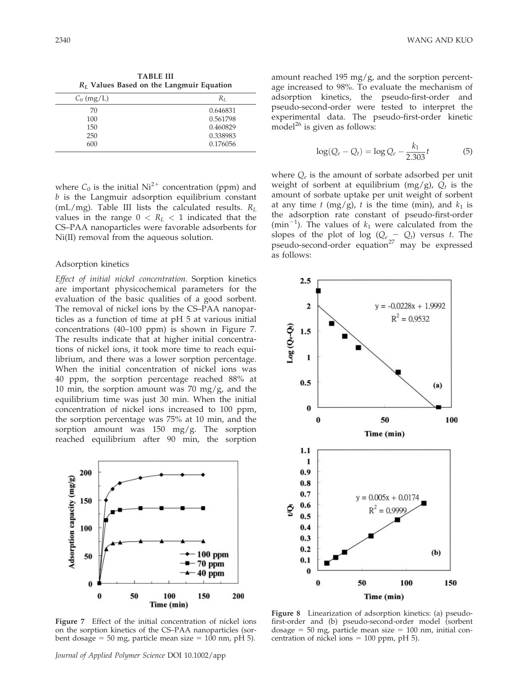TABLE III  $R_L$  Values Based on the Langmuir Equation

| $C_0$ (mg/L) | $R_I$    |
|--------------|----------|
| 70           | 0.646831 |
| 100          | 0.561798 |
| 150          | 0.460829 |
| 250          | 0.338983 |
| 600          | 0.176056 |

where  $C_0$  is the initial Ni<sup>2+</sup> concentration (ppm) and  $b$  is the Langmuir adsorption equilibrium constant (mL/mg). Table III lists the calculated results.  $R_L$ values in the range  $0 < R_L < 1$  indicated that the CS–PAA nanoparticles were favorable adsorbents for Ni(II) removal from the aqueous solution.

# Adsorption kinetics

Effect of initial nickel concentration. Sorption kinetics are important physicochemical parameters for the evaluation of the basic qualities of a good sorbent. The removal of nickel ions by the CS–PAA nanoparticles as a function of time at pH 5 at various initial concentrations (40–100 ppm) is shown in Figure 7. The results indicate that at higher initial concentrations of nickel ions, it took more time to reach equilibrium, and there was a lower sorption percentage. When the initial concentration of nickel ions was 40 ppm, the sorption percentage reached 88% at 10 min, the sorption amount was 70 mg/g, and the equilibrium time was just 30 min. When the initial concentration of nickel ions increased to 100 ppm, the sorption percentage was 75% at 10 min, and the sorption amount was 150 mg/g. The sorption reached equilibrium after 90 min, the sorption



Figure 7 Effect of the initial concentration of nickel ions on the sorption kinetics of the CS–PAA nanoparticles (sorbent dosage = 50 mg, particle mean size =  $100$  nm, pH 5).

amount reached 195 mg/g, and the sorption percentage increased to 98%. To evaluate the mechanism of adsorption kinetics, the pseudo-first-order and pseudo-second-order were tested to interpret the experimental data. The pseudo-first-order kinetic

model<sup>26</sup> is given as follows:

$$
\log(Q_e - Q_t) = \log Q_e - \frac{k_1}{2.303}t
$$
 (5)

where  $Q_e$  is the amount of sorbate adsorbed per unit weight of sorbent at equilibrium (mg/g),  $Q_t$  is the amount of sorbate uptake per unit weight of sorbent at any time t (mg/g), t is the time (min), and  $k_1$  is the adsorption rate constant of pseudo-first-order (min<sup>-1</sup>). The values of  $k_1$  were calculated from the slopes of the plot of log ( $Q_e - Q_t$ ) versus t. The pseudo-second-order equation<sup>27</sup> may be expressed as follows:



Figure 8 Linearization of adsorption kinetics: (a) pseudofirst-order and (b) pseudo-second-order model (sorbent dosage =  $50$  mg, particle mean size =  $100$  nm, initial concentration of nickel ions  $= 100$  ppm, pH 5).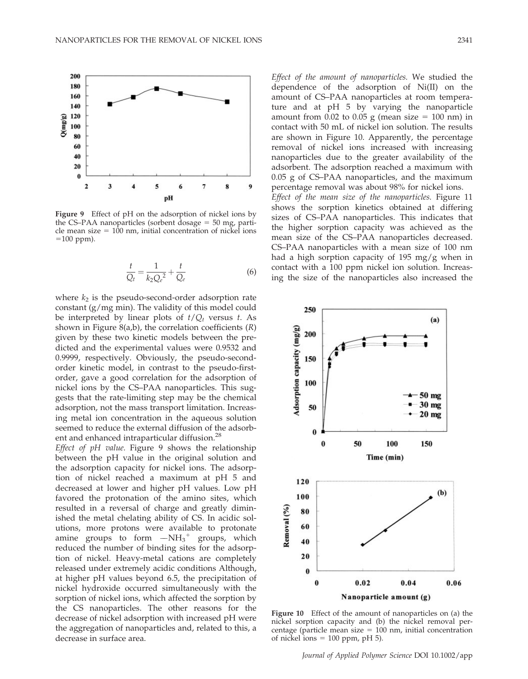

Figure 9 Effect of pH on the adsorption of nickel ions by the CS–PAA nanoparticles (sorbent dosage  $= 50$  mg, particle mean size  $= 100$  nm, initial concentration of nickel ions  $=100$  ppm).

$$
\frac{t}{Q_t} = \frac{1}{k_2 Q_e^2} + \frac{t}{Q_e}
$$
 (6)

where  $k_2$  is the pseudo-second-order adsorption rate constant (g/mg min). The validity of this model could be interpreted by linear plots of  $t/Q_t$  versus t. As shown in Figure 8(a,b), the correlation coefficients  $(R)$ given by these two kinetic models between the predicted and the experimental values were 0.9532 and 0.9999, respectively. Obviously, the pseudo-secondorder kinetic model, in contrast to the pseudo-firstorder, gave a good correlation for the adsorption of nickel ions by the CS–PAA nanoparticles. This suggests that the rate-limiting step may be the chemical adsorption, not the mass transport limitation. Increasing metal ion concentration in the aqueous solution seemed to reduce the external diffusion of the adsorbent and enhanced intraparticular diffusion.<sup>28</sup>

Effect of pH value. Figure 9 shows the relationship between the pH value in the original solution and the adsorption capacity for nickel ions. The adsorption of nickel reached a maximum at pH 5 and decreased at lower and higher pH values. Low pH favored the protonation of the amino sites, which resulted in a reversal of charge and greatly diminished the metal chelating ability of CS. In acidic solutions, more protons were available to protonate amine groups to form  $-NH_3^+$  groups, which reduced the number of binding sites for the adsorption of nickel. Heavy-metal cations are completely released under extremely acidic conditions Although, at higher pH values beyond 6.5, the precipitation of nickel hydroxide occurred simultaneously with the sorption of nickel ions, which affected the sorption by the CS nanoparticles. The other reasons for the decrease of nickel adsorption with increased pH were the aggregation of nanoparticles and, related to this, a decrease in surface area.

Effect of the amount of nanoparticles. We studied the dependence of the adsorption of Ni(II) on the amount of CS–PAA nanoparticles at room temperature and at pH 5 by varying the nanoparticle amount from 0.02 to 0.05 g (mean size  $= 100$  nm) in contact with 50 mL of nickel ion solution. The results are shown in Figure 10. Apparently, the percentage removal of nickel ions increased with increasing nanoparticles due to the greater availability of the adsorbent. The adsorption reached a maximum with 0.05 g of CS–PAA nanoparticles, and the maximum percentage removal was about 98% for nickel ions. Effect of the mean size of the nanoparticles. Figure 11 shows the sorption kinetics obtained at differing sizes of CS–PAA nanoparticles. This indicates that the higher sorption capacity was achieved as the mean size of the CS–PAA nanoparticles decreased. CS–PAA nanoparticles with a mean size of 100 nm had a high sorption capacity of 195 mg/g when in contact with a 100 ppm nickel ion solution. Increasing the size of the nanoparticles also increased the



Figure 10 Effect of the amount of nanoparticles on (a) the nickel sorption capacity and (b) the nickel removal percentage (particle mean size  $= 100$  nm, initial concentration of nickel ions  $= 100$  ppm, pH 5).

Journal of Applied Polymer Science DOI 10.1002/app